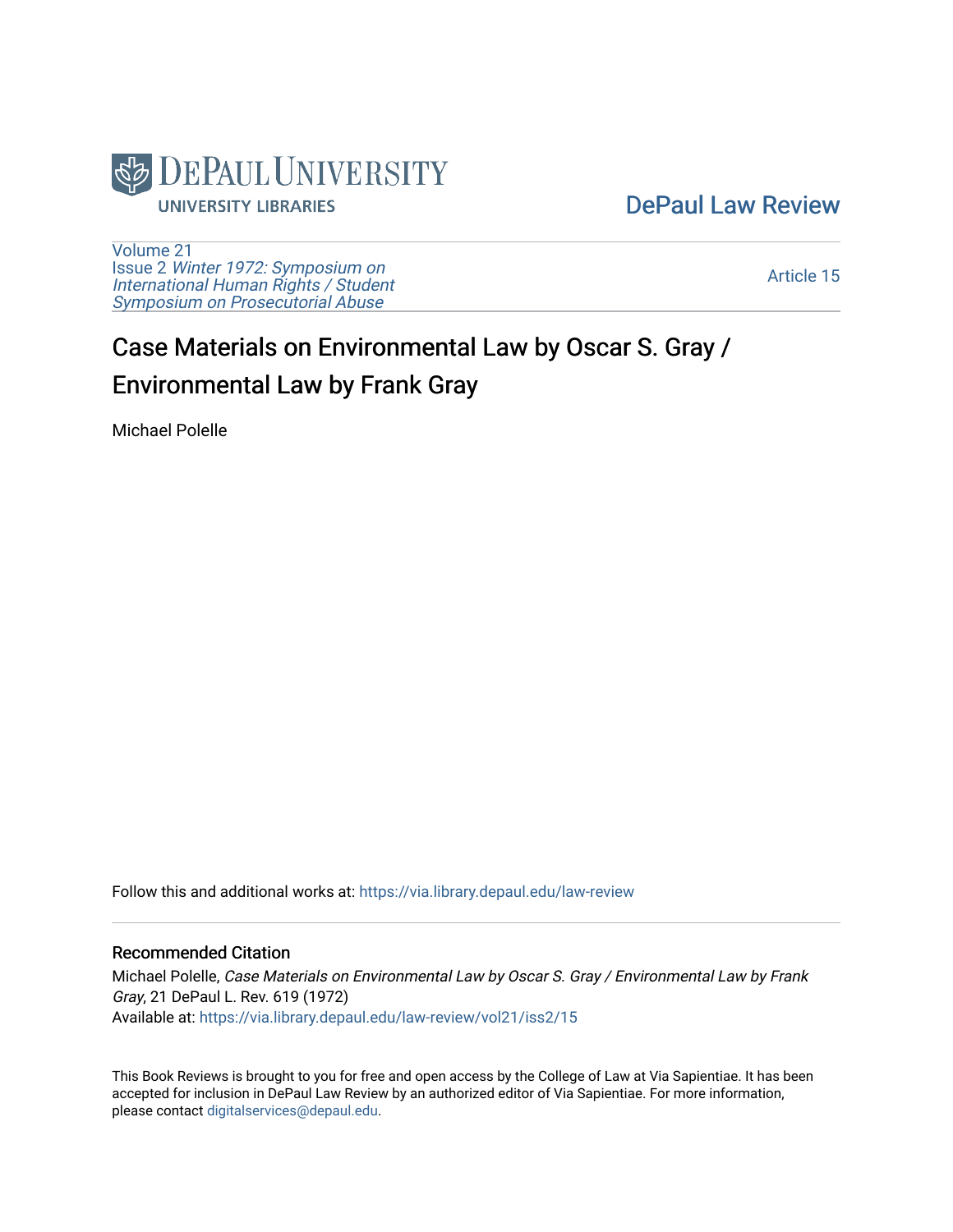

## [DePaul Law Review](https://via.library.depaul.edu/law-review)

[Volume 21](https://via.library.depaul.edu/law-review/vol21) Issue 2 [Winter 1972: Symposium on](https://via.library.depaul.edu/law-review/vol21/iss2) [International Human Rights / Student](https://via.library.depaul.edu/law-review/vol21/iss2) [Symposium on Prosecutorial Abuse](https://via.library.depaul.edu/law-review/vol21/iss2)

[Article 15](https://via.library.depaul.edu/law-review/vol21/iss2/15) 

## Case Materials on Environmental Law by Oscar S. Gray / Environmental Law by Frank Gray

Michael Polelle

Follow this and additional works at: [https://via.library.depaul.edu/law-review](https://via.library.depaul.edu/law-review?utm_source=via.library.depaul.edu%2Flaw-review%2Fvol21%2Fiss2%2F15&utm_medium=PDF&utm_campaign=PDFCoverPages) 

## Recommended Citation

Michael Polelle, Case Materials on Environmental Law by Oscar S. Gray / Environmental Law by Frank Gray, 21 DePaul L. Rev. 619 (1972) Available at: [https://via.library.depaul.edu/law-review/vol21/iss2/15](https://via.library.depaul.edu/law-review/vol21/iss2/15?utm_source=via.library.depaul.edu%2Flaw-review%2Fvol21%2Fiss2%2F15&utm_medium=PDF&utm_campaign=PDFCoverPages)

This Book Reviews is brought to you for free and open access by the College of Law at Via Sapientiae. It has been accepted for inclusion in DePaul Law Review by an authorized editor of Via Sapientiae. For more information, please contact [digitalservices@depaul.edu.](mailto:digitalservices@depaul.edu)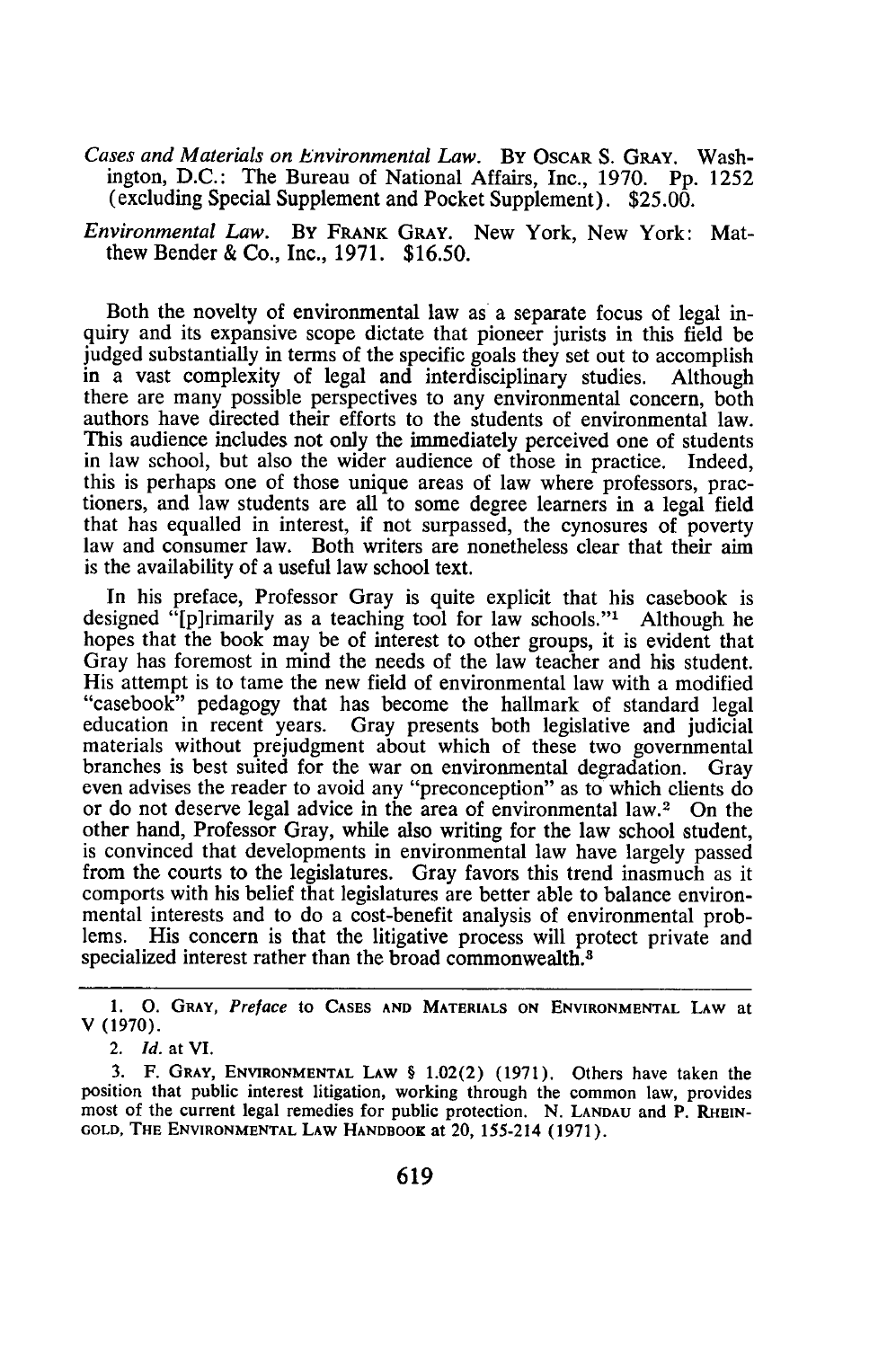*Cases and Materials on Environmental Law.* BY OSCAR S. GRAY. Washington, D.C.: The Bureau of National Affairs, Inc., 1970. Pp. 1252 (excluding Special Supplement and Pocket Supplement). \$25.00.

*Environmental Law.* By FRANK GRAY. New York, New York: Matthew Bender & Co., Inc., 1971. \$16.50.

Both the novelty of environmental law as a separate focus of legal inquiry and its expansive scope dictate that pioneer jurists in this field be judged substantially in terms of the specific goals they set out to accomplish in a vast complexity of legal and interdisciplinary studies. Although there are many possible perspectives to any environmental concern, both authors have directed their efforts to the students of environmental law. This audience includes not only the immediately perceived one of students in law school, but also the wider audience of those in practice. Indeed, this is perhaps one of those unique areas of law where professors, practioners, and law students are all to some degree learners in a legal field that has equalled in interest, if not surpassed, the cynosures of poverty law and consumer law. Both writers are nonetheless clear that their aim is the availability of a useful law school text.

In his preface, Professor Gray is quite explicit that his casebook is designed "[p]rimarily as a teaching tool for law schools."' Although he hopes that the book may be of interest to other groups, it is evident that Gray has foremost in mind the needs of the law teacher and his student. His attempt is to tame the new field of environmental law with a modified "casebook" pedagogy that has become the hallmark of standard legal education in recent years. Gray presents both legislative and judicial materials without prejudgment about which of these two governmental branches is best suited for the war on environmental degradation. Gray even advises the reader to avoid any "preconception" as to which clients do or do not deserve legal advice in the area of environmental law.<sup>2</sup> On the other hand, Professor Gray, while also writing for the law school student, is convinced that developments in environmental law have largely passed from the courts to the legislatures. Gray favors this trend inasmuch as it comports with his belief that legislatures are better able to balance environmental interests and to do a cost-benefit analysis of environmental problems. His concern is that the litigative process will protect private and specialized interest rather than the broad commonwealth.<sup>8</sup>

**<sup>1. 0.</sup> GRAY,** *Preface* to **CASES AND MATERIALS ON ENVIRONMENTAL LAW** at V **(1970).**

<sup>2.</sup> *Id.* **at VI.**

<sup>3.</sup> F. **GRAY, ENVIRONMENTAL** LAW § 1.02(2) (1971). Others have taken the position that public interest litigation, working through the common law, provides most of the current legal remedies for public protection. N. LANDAU and P. RHEIN-**GOLD, THE ENVIRONMENTAL** LAW HANDBOOK at 20, 155-214 (1971).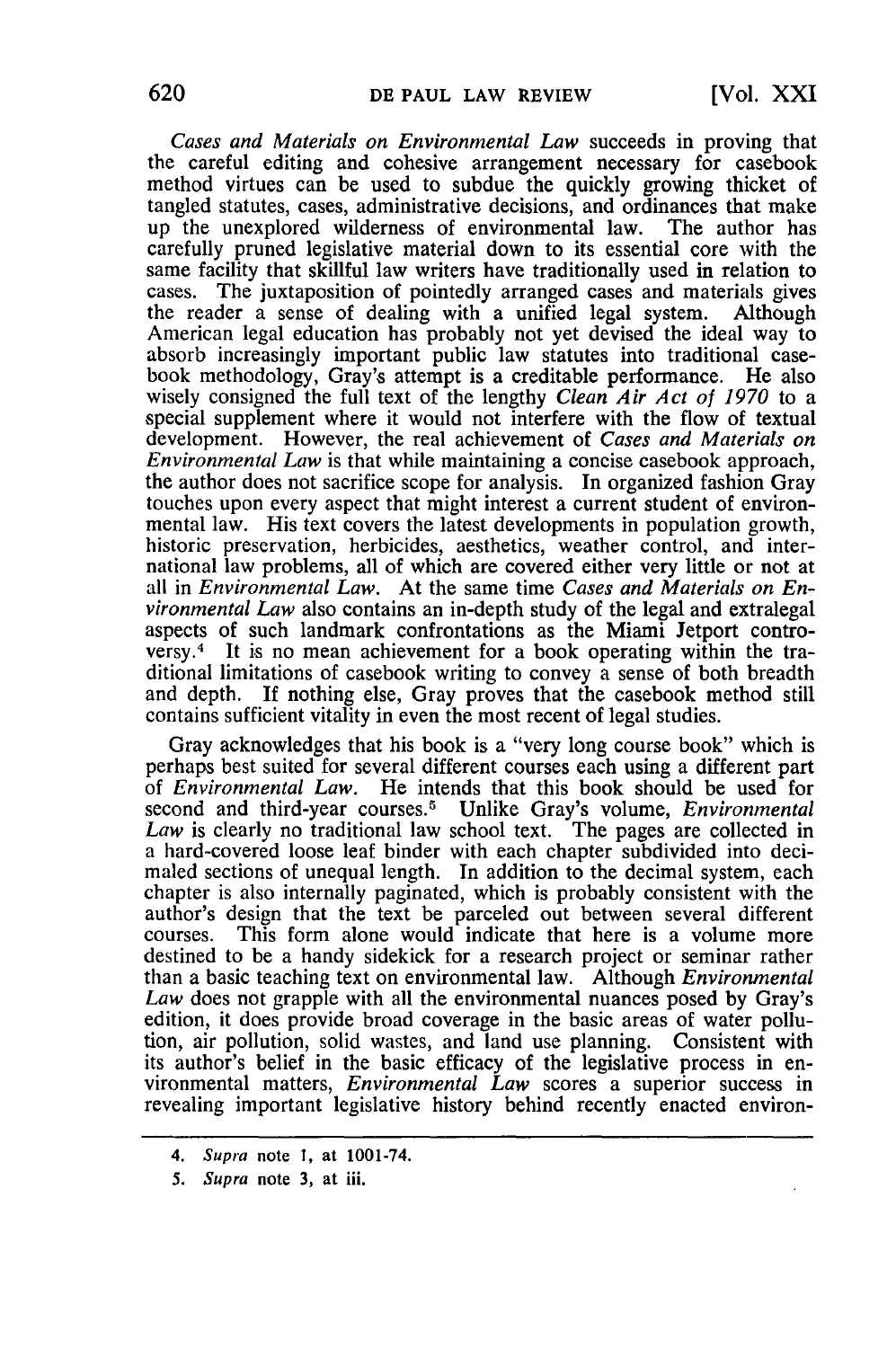*Cases and Materials on Environmental Law* succeeds in proving that the careful editing and cohesive arrangement necessary for casebook method virtues can be used to subdue the quickly growing thicket of tangled statutes, cases, administrative decisions, and ordinances that make up the unexplored wilderness of environmental law. The author has carefully pruned legislative material down to its essential core with the same facility that skillful law writers have traditionally used in relation to cases. The juxtaposition of pointedly arranged cases and materials gives the reader a sense of dealing with a unified legal system. Although American legal education has probably not yet devised the ideal way to absorb increasingly important public law statutes into traditional casebook methodology, Gray's attempt is a creditable performance. He also wisely consigned the full text of the lengthy *Clean Air Act of 1970* to a special supplement where it would not interfere with the flow of textual development. However, the real achievement of *Cases and Materials on Environmental Law* is that while maintaining a concise casebook approach, the author does not sacrifice scope for analysis. In organized fashion Gray touches upon every aspect that might interest a current student of environmental law. His text covers the latest developments in population growth, historic preservation, herbicides, aesthetics, weather control, and international law problems, all of which are covered either very little or not at all in *Environmental Law.* At the same time *Cases and Materials on Environmental Law* also contains an in-depth study of the legal and extralegal aspects of such landmark confrontations as the Miami Jetport controversy. 4 It is no mean achievement for a book operating within the traditional limitations of casebook writing to convey a sense of both breadth and depth. If nothing else, Gray proves that the casebook method still contains sufficient vitality in even the most recent of legal studies.

Gray acknowledges that his book is a "very long course book" which is perhaps best suited for several different courses each using a different part of *Environmental Law.* He intends that this book should be used for second and third-year courses.5 Unlike Gray's volume, *Environmental Law* is clearly no traditional law school text. The pages are collected in a hard-covered loose leaf binder with each chapter subdivided into decimaled sections of unequal length. In addition to the decimal system, each chapter is also internally paginated, which is probably consistent with the author's design that the text be parceled out between several differen courses. This form alone would indicate that here is a volume more destined to be a handy sidekick for a research project or seminar rather than a basic teaching text on environmental law. Although *Environmental Law* does not grapple with all the environmental nuances posed **by** Gray's edition, it does provide broad coverage in the basic areas of water pollution, air pollution, solid wastes, and land use planning. Consistent with its author's belief in the basic efficacy of the legislative process in environmental matters, *Environmental Law* scores a superior success in revealing important legislative history behind recently enacted environ-

*<sup>4.</sup> Supra* note **1,** at 1001-74.

*<sup>5.</sup> Supra* note **3,** at iii.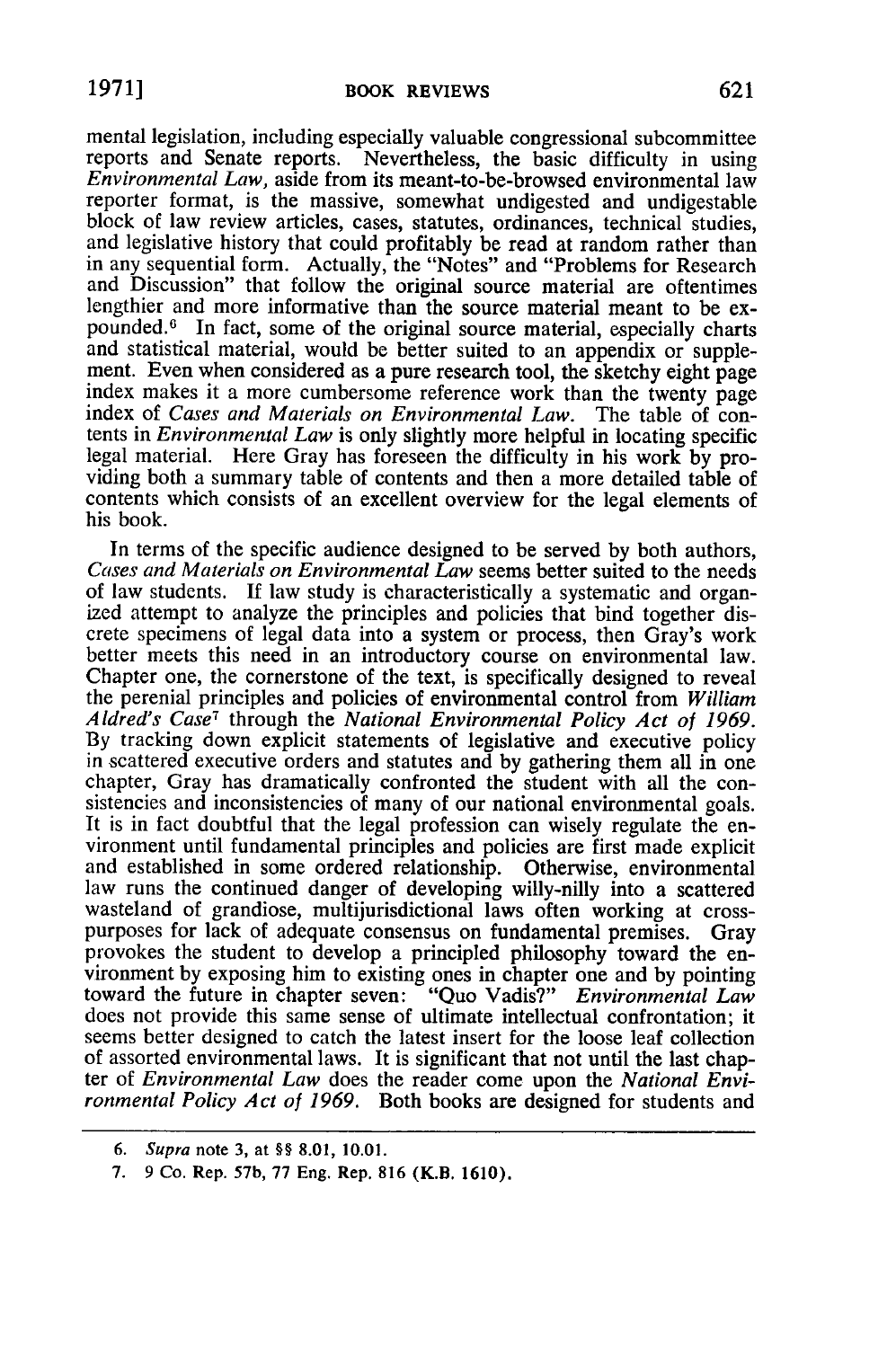mental legislation, including especially valuable congressional subcommittee reports and Senate reports. Nevertheless, the basic difficulty in using Environmental Law, aside from its meant-to-be-browsed environmental law reporter format, is the massive, somewhat undigested and undigestable block of law review articles, cases, statutes, ordinances, technical studies, and legislative history that could profitably be read at random rather than in any sequential form. Actually, the "Notes" and "Problems for Research and Discussion" that follow the original source material are oftentimes lengthier and more informative than the source material meant to be expounded.<sup>6</sup> In fact, some of the original source material, especially charts and statistical material, would be better suited to an appendix or supple-ment. Even when considered as a pure research tool, the sketchy eight page index makes it a more cumbersome reference work than the twenty page index of *Cases and Materials on Environmental Law*. The table of contents in *Environmental Law* is only slightly more helpful in locating specific<br>legal material. Here Gray has foreseen the difficulty in his work by pro-<br>viding both a summary table of contents and then a more detailed tab contents which consists of an excellent overview for the legal elements of his book.

In terms of the specific audience designed to be served by both authors, *Cases and Materials on Environmental Law* seems better suited to the needs of law students. If law study is characteristically a systematic and organ-<br>ized attempt to analyze the principles and policies that bind together discrete specimens of legal data into a system or process, then Gray's work better meets this need in an introductory course on environmental law. Chapter one, the cornerstone of the text, is specifically designed to reveal the perenial principles and policies of environmental control from *William Aldred's Case7* through the *National Environmental Policy Act of 1969.* By tracking down explicit statements of legislative and executive policy in scattered executive orders and statutes and by gathering them all in one chapter, Gray has dramatically confronted the student with all the consistencies and inconsistencies of many of our national environmental goals. It is in fact doubtful that the legal profession can wisely regulate the environment until fundamental principles and policies are first made explicit and established in some ordered relationship. Otherwise, environmental law runs the continued danger of developing willy-nilly into a scattered wasteland of grandiose, multijurisdictional laws often working at crosspurposes for lack of adequate consensus on fundamental premises. Gray provokes the student to develop a principled philosophy toward the environment by exposing him to existing ones in chapter one and by pointing toward the future in chapter seven: "Quo Vadis?" *Environmental Law* does not provide this same sense of ultimate intellectual confrontation; it seems better designed to catch the latest insert for the loose leaf collection of assorted environmental laws. It is significant that not until the last chapter of *Environmental Law* does the reader come upon the *National Environmental Policy Act of 1969.* Both books are designed for students and

<sup>6.</sup> Supra note **3,** at **§§ 8.01, 10.01.**

<sup>7. 9</sup> Co. Rep. **57b, 77** Eng. Rep. **816** (K.B. **1610).**